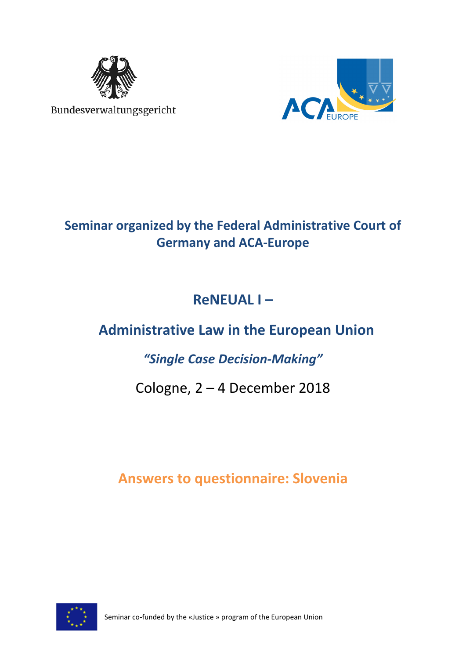

Bundesverwaltungsgericht



## **Seminar organized by the Federal Administrative Court of Germany and ACA-Europe**

# **ReNEUAL I –**

# **Administrative Law in the European Union**

### *"Single Case Decision-Making"*

## Cologne, 2 – 4 December 2018

## **Answers to questionnaire: Slovenia**



Seminar co-funded by the «Justice » program of the European Union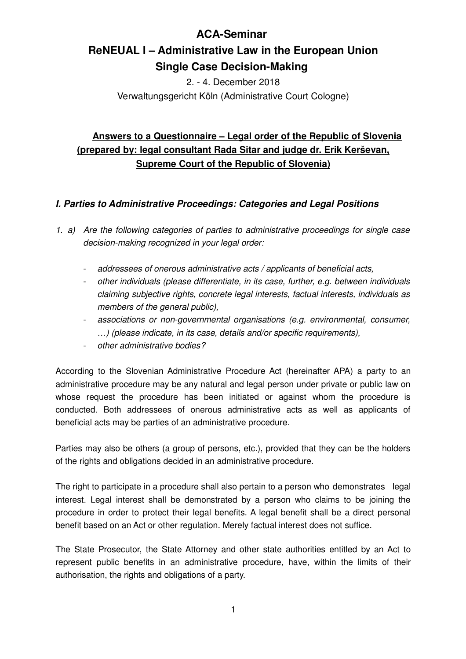### **ACA-Seminar**

### **ReNEUAL I – Administrative Law in the European Union Single Case Decision-Making**

2. - 4. December 2018 Verwaltungsgericht Köln (Administrative Court Cologne)

### **Answers to a Questionnaire – Legal order of the Republic of Slovenia (prepared by: legal consultant Rada Sitar and judge dr. Erik Kerševan, Supreme Court of the Republic of Slovenia)**

#### **I. Parties to Administrative Proceedings: Categories and Legal Positions**

1. a) Are the following categories of parties to administrative proceedings for single case decision-making recognized in your legal order:

- addressees of onerous administrative acts / applicants of beneficial acts,
- other individuals (please differentiate, in its case, further, e.g. between individuals claiming subjective rights, concrete legal interests, factual interests, individuals as members of the general public),
- associations or non-governmental organisations (e.g. environmental, consumer, …) (please indicate, in its case, details and/or specific requirements),
- other administrative bodies?

According to the Slovenian Administrative Procedure Act (hereinafter APA) a party to an administrative procedure may be any natural and legal person under private or public law on whose request the procedure has been initiated or against whom the procedure is conducted. Both addressees of onerous administrative acts as well as applicants of beneficial acts may be parties of an administrative procedure.

Parties may also be others (a group of persons, etc.), provided that they can be the holders of the rights and obligations decided in an administrative procedure.

The right to participate in a procedure shall also pertain to a person who demonstrates legal interest. Legal interest shall be demonstrated by a person who claims to be joining the procedure in order to protect their legal benefits. A legal benefit shall be a direct personal benefit based on an Act or other regulation. Merely factual interest does not suffice.

The State Prosecutor, the State Attorney and other state authorities entitled by an Act to represent public benefits in an administrative procedure, have, within the limits of their authorisation, the rights and obligations of a party.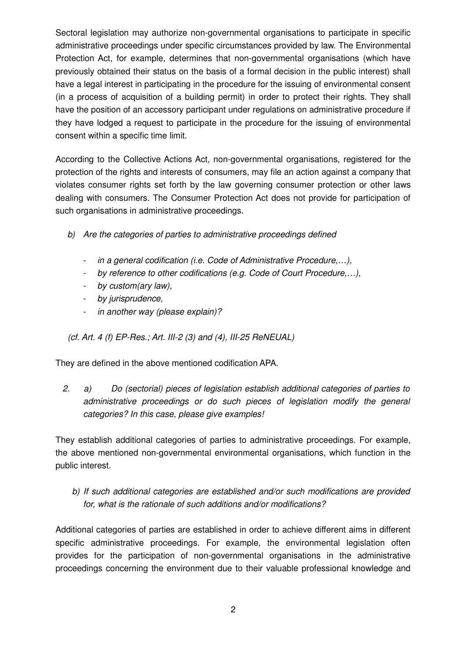Sectoral legislation may authorize non-governmental organisations to participate in specific administrative proceedings under specific circumstances provided by law. The Environmental Protection Act, for example, determines that non-governmental organisations (which have previously obtained their status on the basis of a formal decision in the public interest) shall have a legal interest in participating in the procedure for the issuing of environmental consent (in a process of acquisition of a building permit) in order to protect their rights. They shall have the position of an accessory participant under regulations on administrative procedure if they have lodged a request to participate in the procedure for the issuing of environmental consent within a specific time limit.

According to the Collective Actions Act, non-governmental organisations, registered for the protection of the rights and interests of consumers, may file an action against a company that violates consumer rights set forth by the law governing consumer protection or other laws dealing with consumers. The Consumer Protection Act does not provide for participation of such organisations in administrative proceedings.

- b) Are the categories of parties to administrative proceedings defined
	- in a general codification (i.e. Code of Administrative Procedure,…),
	- by reference to other codifications (e.g. Code of Court Procedure,…),
	- by custom(ary law),
	- by jurisprudence,
	- in another way (please explain)?

(cf. Art. 4 (f) EP-Res.; Art. III-2 (3) and (4), III-25 ReNEUAL)

They are defined in the above mentioned codification APA.

2. a) Do (sectorial) pieces of legislation establish additional categories of parties to administrative proceedings or do such pieces of legislation modify the general categories? In this case, please give examples!

They establish additional categories of parties to administrative proceedings. For example, the above mentioned non-governmental environmental organisations, which function in the public interest.

#### b) If such additional categories are established and/or such modifications are provided for, what is the rationale of such additions and/or modifications?

Additional categories of parties are established in order to achieve different aims in different specific administrative proceedings. For example, the environmental legislation often provides for the participation of non-governmental organisations in the administrative proceedings concerning the environment due to their valuable professional knowledge and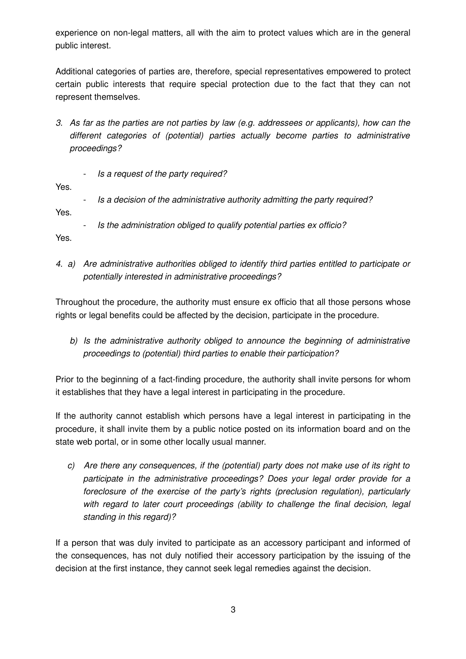experience on non-legal matters, all with the aim to protect values which are in the general public interest.

Additional categories of parties are, therefore, special representatives empowered to protect certain public interests that require special protection due to the fact that they can not represent themselves.

- 3. As far as the parties are not parties by law (e.g. addressees or applicants), how can the different categories of (potential) parties actually become parties to administrative proceedings?
	- Is a request of the party required?

Yes.

- Is a decision of the administrative authority admitting the party required?

Yes.

Is the administration obliged to qualify potential parties ex officio?

Yes.

4. a) Are administrative authorities obliged to identify third parties entitled to participate or potentially interested in administrative proceedings?

Throughout the procedure, the authority must ensure ex officio that all those persons whose rights or legal benefits could be affected by the decision, participate in the procedure.

 b) Is the administrative authority obliged to announce the beginning of administrative proceedings to (potential) third parties to enable their participation?

Prior to the beginning of a fact-finding procedure, the authority shall invite persons for whom it establishes that they have a legal interest in participating in the procedure.

If the authority cannot establish which persons have a legal interest in participating in the procedure, it shall invite them by a public notice posted on its information board and on the state web portal, or in some other locally usual manner.

c) Are there any consequences, if the (potential) party does not make use of its right to participate in the administrative proceedings? Does your legal order provide for a foreclosure of the exercise of the party's rights (preclusion regulation), particularly with regard to later court proceedings (ability to challenge the final decision, legal standing in this regard)?

If a person that was duly invited to participate as an accessory participant and informed of the consequences, has not duly notified their accessory participation by the issuing of the decision at the first instance, they cannot seek legal remedies against the decision.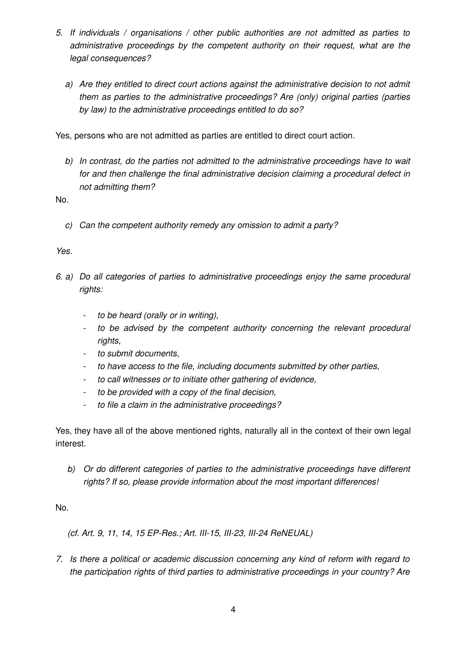- 5. If individuals / organisations / other public authorities are not admitted as parties to administrative proceedings by the competent authority on their request, what are the legal consequences?
	- a) Are they entitled to direct court actions against the administrative decision to not admit them as parties to the administrative proceedings? Are (only) original parties (parties by law) to the administrative proceedings entitled to do so?

Yes, persons who are not admitted as parties are entitled to direct court action.

b) In contrast, do the parties not admitted to the administrative proceedings have to wait for and then challenge the final administrative decision claiming a procedural defect in not admitting them?

No.

c) Can the competent authority remedy any omission to admit a party?

#### Yes.

- 6. a) Do all categories of parties to administrative proceedings enjoy the same procedural rights:
	- to be heard (orally or in writing),
	- to be advised by the competent authority concerning the relevant procedural rights,
	- to submit documents,
	- to have access to the file, including documents submitted by other parties,
	- to call witnesses or to initiate other gathering of evidence,
	- to be provided with a copy of the final decision,
	- to file a claim in the administrative proceedings?

Yes, they have all of the above mentioned rights, naturally all in the context of their own legal interest.

b) Or do different categories of parties to the administrative proceedings have different rights? If so, please provide information about the most important differences!

#### No.

(cf. Art. 9, 11, 14, 15 EP-Res.; Art. III-15, III-23, III-24 ReNEUAL)

7. Is there a political or academic discussion concerning any kind of reform with regard to the participation rights of third parties to administrative proceedings in your country? Are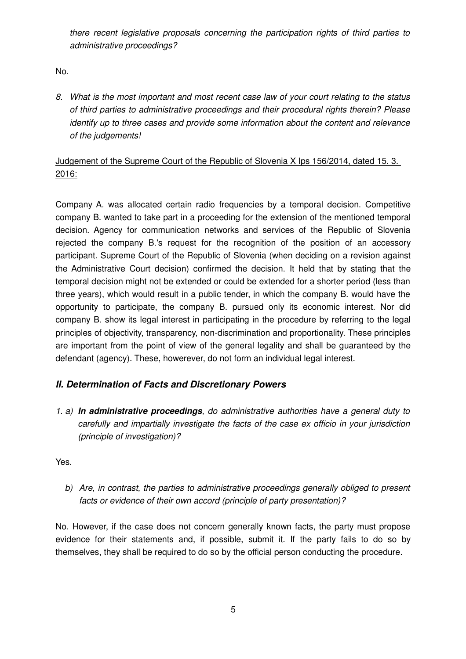there recent legislative proposals concerning the participation rights of third parties to administrative proceedings?

No.

8. What is the most important and most recent case law of your court relating to the status of third parties to administrative proceedings and their procedural rights therein? Please identify up to three cases and provide some information about the content and relevance of the judgements!

### Judgement of the Supreme Court of the Republic of Slovenia X Ips 156/2014, dated 15. 3. 2016:

Company A. was allocated certain radio frequencies by a temporal decision. Competitive company B. wanted to take part in a proceeding for the extension of the mentioned temporal decision. Agency for communication networks and services of the Republic of Slovenia rejected the company B.'s request for the recognition of the position of an accessory participant. Supreme Court of the Republic of Slovenia (when deciding on a revision against the Administrative Court decision) confirmed the decision. It held that by stating that the temporal decision might not be extended or could be extended for a shorter period (less than three years), which would result in a public tender, in which the company B. would have the opportunity to participate, the company B. pursued only its economic interest. Nor did company B. show its legal interest in participating in the procedure by referring to the legal principles of objectivity, transparency, non-discrimination and proportionality. These principles are important from the point of view of the general legality and shall be guaranteed by the defendant (agency). These, howerever, do not form an individual legal interest.

### **II. Determination of Facts and Discretionary Powers**

1. a) **In administrative proceedings**, do administrative authorities have a general duty to carefully and impartially investigate the facts of the case ex officio in your jurisdiction (principle of investigation)?

Yes.

b) Are, in contrast, the parties to administrative proceedings generally obliged to present facts or evidence of their own accord (principle of party presentation)?

No. However, if the case does not concern generally known facts, the party must propose evidence for their statements and, if possible, submit it. If the party fails to do so by themselves, they shall be required to do so by the official person conducting the procedure.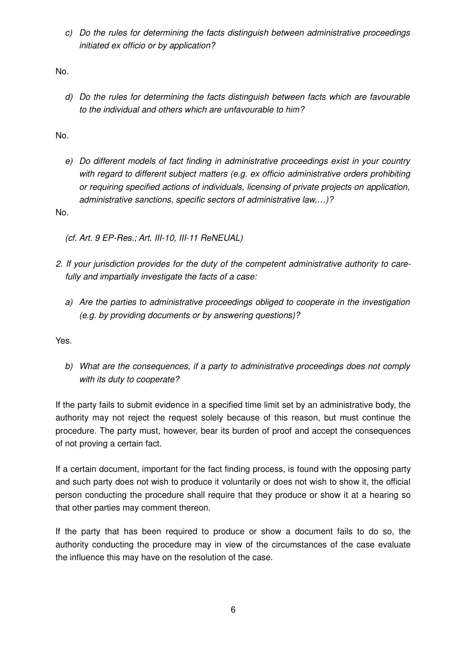c) Do the rules for determining the facts distinguish between administrative proceedings initiated ex officio or by application?

No.

d) Do the rules for determining the facts distinguish between facts which are favourable to the individual and others which are unfavourable to him?

No.

e) Do different models of fact finding in administrative proceedings exist in your country with regard to different subject matters (e.g. ex officio administrative orders prohibiting or requiring specified actions of individuals, licensing of private projects on application, administrative sanctions, specific sectors of administrative law,…)?

No.

(cf. Art. 9 EP-Res.; Art. III-10, III-11 ReNEUAL)

- 2. If your jurisdiction provides for the duty of the competent administrative authority to care fully and impartially investigate the facts of a case:
	- a) Are the parties to administrative proceedings obliged to cooperate in the investigation (e.g. by providing documents or by answering questions)?

Yes.

b) What are the consequences, if a party to administrative proceedings does not comply with its duty to cooperate?

If the party fails to submit evidence in a specified time limit set by an administrative body, the authority may not reject the request solely because of this reason, but must continue the procedure. The party must, however, bear its burden of proof and accept the consequences of not proving a certain fact.

If a certain document, important for the fact finding process, is found with the opposing party and such party does not wish to produce it voluntarily or does not wish to show it, the official person conducting the procedure shall require that they produce or show it at a hearing so that other parties may comment thereon.

If the party that has been required to produce or show a document fails to do so, the authority conducting the procedure may in view of the circumstances of the case evaluate the influence this may have on the resolution of the case.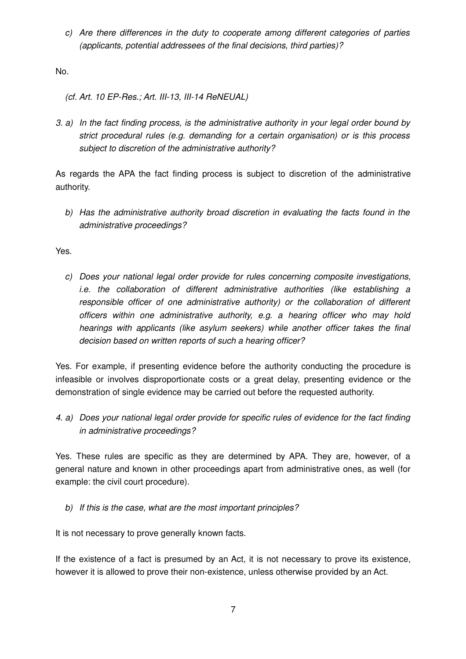c) Are there differences in the duty to cooperate among different categories of parties (applicants, potential addressees of the final decisions, third parties)?

No.

(cf. Art. 10 EP-Res.; Art. III-13, III-14 ReNEUAL)

3. a) In the fact finding process, is the administrative authority in your legal order bound by strict procedural rules (e.g. demanding for a certain organisation) or is this process subject to discretion of the administrative authority?

As regards the APA the fact finding process is subject to discretion of the administrative authority.

b) Has the administrative authority broad discretion in evaluating the facts found in the administrative proceedings?

Yes.

c) Does your national legal order provide for rules concerning composite investigations, i.e. the collaboration of different administrative authorities (like establishing a responsible officer of one administrative authority) or the collaboration of different officers within one administrative authority, e.g. a hearing officer who may hold hearings with applicants (like asylum seekers) while another officer takes the final decision based on written reports of such a hearing officer?

Yes. For example, if presenting evidence before the authority conducting the procedure is infeasible or involves disproportionate costs or a great delay, presenting evidence or the demonstration of single evidence may be carried out before the requested authority.

4. a) Does your national legal order provide for specific rules of evidence for the fact finding in administrative proceedings?

Yes. These rules are specific as they are determined by APA. They are, however, of a general nature and known in other proceedings apart from administrative ones, as well (for example: the civil court procedure).

b) If this is the case, what are the most important principles?

It is not necessary to prove generally known facts.

If the existence of a fact is presumed by an Act, it is not necessary to prove its existence, however it is allowed to prove their non-existence, unless otherwise provided by an Act.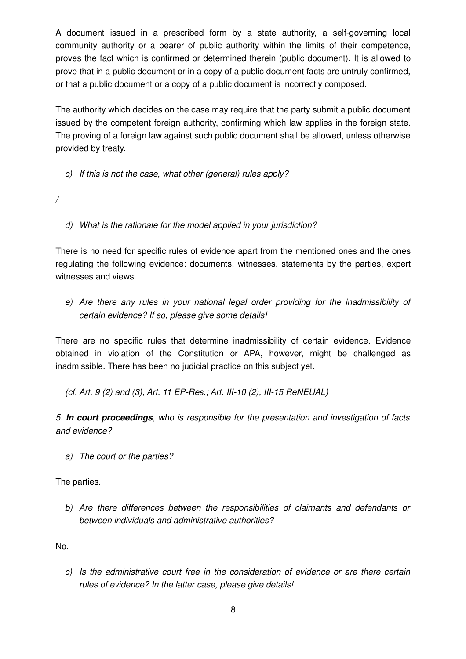A document issued in a prescribed form by a state authority, a self-governing local community authority or a bearer of public authority within the limits of their competence, proves the fact which is confirmed or determined therein (public document). It is allowed to prove that in a public document or in a copy of a public document facts are untruly confirmed, or that a public document or a copy of a public document is incorrectly composed.

The authority which decides on the case may require that the party submit a public document issued by the competent foreign authority, confirming which law applies in the foreign state. The proving of a foreign law against such public document shall be allowed, unless otherwise provided by treaty.

- c) If this is not the case, what other (general) rules apply?
- /
- d) What is the rationale for the model applied in your jurisdiction?

There is no need for specific rules of evidence apart from the mentioned ones and the ones regulating the following evidence: documents, witnesses, statements by the parties, expert witnesses and views.

e) Are there any rules in your national legal order providing for the inadmissibility of certain evidence? If so, please give some details!

There are no specific rules that determine inadmissibility of certain evidence. Evidence obtained in violation of the Constitution or APA, however, might be challenged as inadmissible. There has been no judicial practice on this subject yet.

(cf. Art. 9 (2) and (3), Art. 11 EP-Res.; Art. III-10 (2), III-15 ReNEUAL)

5. **In court proceedings**, who is responsible for the presentation and investigation of facts and evidence?

a) The court or the parties?

The parties.

b) Are there differences between the responsibilities of claimants and defendants or between individuals and administrative authorities?

No.

c) Is the administrative court free in the consideration of evidence or are there certain rules of evidence? In the latter case, please give details!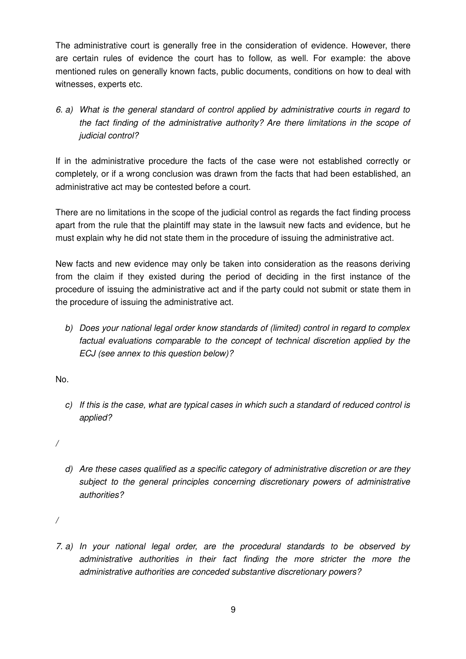The administrative court is generally free in the consideration of evidence. However, there are certain rules of evidence the court has to follow, as well. For example: the above mentioned rules on generally known facts, public documents, conditions on how to deal with witnesses, experts etc.

6. a) What is the general standard of control applied by administrative courts in regard to the fact finding of the administrative authority? Are there limitations in the scope of judicial control?

If in the administrative procedure the facts of the case were not established correctly or completely, or if a wrong conclusion was drawn from the facts that had been established, an administrative act may be contested before a court.

There are no limitations in the scope of the judicial control as regards the fact finding process apart from the rule that the plaintiff may state in the lawsuit new facts and evidence, but he must explain why he did not state them in the procedure of issuing the administrative act.

New facts and new evidence may only be taken into consideration as the reasons deriving from the claim if they existed during the period of deciding in the first instance of the procedure of issuing the administrative act and if the party could not submit or state them in the procedure of issuing the administrative act.

b) Does your national legal order know standards of (limited) control in regard to complex factual evaluations comparable to the concept of technical discretion applied by the ECJ (see annex to this question below)?

No.

c) If this is the case, what are typical cases in which such a standard of reduced control is applied?

/

d) Are these cases qualified as a specific category of administrative discretion or are they subject to the general principles concerning discretionary powers of administrative authorities?

/

7. a) In your national legal order, are the procedural standards to be observed by administrative authorities in their fact finding the more stricter the more the administrative authorities are conceded substantive discretionary powers?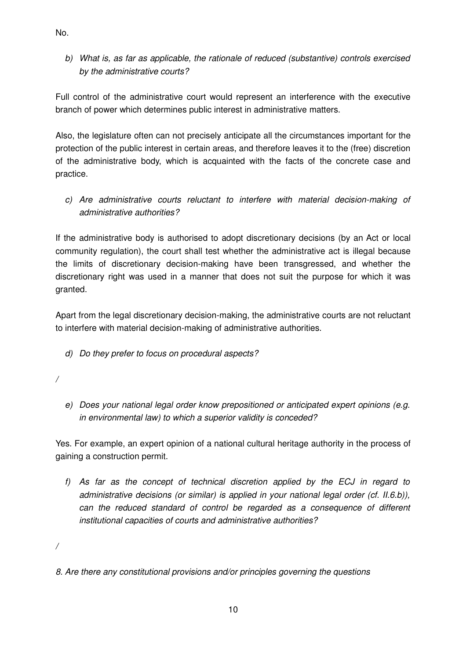b) What is, as far as applicable, the rationale of reduced (substantive) controls exercised by the administrative courts?

Full control of the administrative court would represent an interference with the executive branch of power which determines public interest in administrative matters.

Also, the legislature often can not precisely anticipate all the circumstances important for the protection of the public interest in certain areas, and therefore leaves it to the (free) discretion of the administrative body, which is acquainted with the facts of the concrete case and practice.

c) Are administrative courts reluctant to interfere with material decision-making of administrative authorities?

If the administrative body is authorised to adopt discretionary decisions (by an Act or local community regulation), the court shall test whether the administrative act is illegal because the limits of discretionary decision-making have been transgressed, and whether the discretionary right was used in a manner that does not suit the purpose for which it was granted.

Apart from the legal discretionary decision-making, the administrative courts are not reluctant to interfere with material decision-making of administrative authorities.

- d) Do they prefer to focus on procedural aspects?
- /
- e) Does your national legal order know prepositioned or anticipated expert opinions (e.g. in environmental law) to which a superior validity is conceded?

Yes. For example, an expert opinion of a national cultural heritage authority in the process of gaining a construction permit.

f) As far as the concept of technical discretion applied by the ECJ in regard to administrative decisions (or similar) is applied in your national legal order (cf. II.6.b)), can the reduced standard of control be regarded as a consequence of different institutional capacities of courts and administrative authorities?

/

8. Are there any constitutional provisions and/or principles governing the questions

No.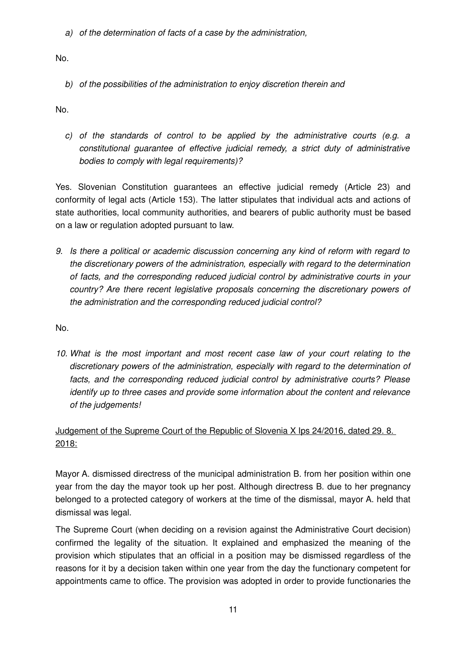a) of the determination of facts of a case by the administration,

No.

b) of the possibilities of the administration to enjoy discretion therein and

No.

c) of the standards of control to be applied by the administrative courts (e.g. a constitutional guarantee of effective judicial remedy, a strict duty of administrative bodies to comply with legal requirements)?

Yes. Slovenian Constitution guarantees an effective judicial remedy (Article 23) and conformity of legal acts (Article 153). The latter stipulates that individual acts and actions of state authorities, local community authorities, and bearers of public authority must be based on a law or regulation adopted pursuant to law.

9. Is there a political or academic discussion concerning any kind of reform with regard to the discretionary powers of the administration, especially with regard to the determination of facts, and the corresponding reduced judicial control by administrative courts in your country? Are there recent legislative proposals concerning the discretionary powers of the administration and the corresponding reduced judicial control?

No.

10. What is the most important and most recent case law of your court relating to the discretionary powers of the administration, especially with regard to the determination of facts, and the corresponding reduced judicial control by administrative courts? Please identify up to three cases and provide some information about the content and relevance of the judgements!

### Judgement of the Supreme Court of the Republic of Slovenia X Ips 24/2016, dated 29. 8. 2018:

Mayor A. dismissed directress of the municipal administration B. from her position within one year from the day the mayor took up her post. Although directress B. due to her pregnancy belonged to a protected category of workers at the time of the dismissal, mayor A. held that dismissal was legal.

The Supreme Court (when deciding on a revision against the Administrative Court decision) confirmed the legality of the situation. It explained and emphasized the meaning of the provision which stipulates that an official in a position may be dismissed regardless of the reasons for it by a decision taken within one year from the day the functionary competent for appointments came to office. The provision was adopted in order to provide functionaries the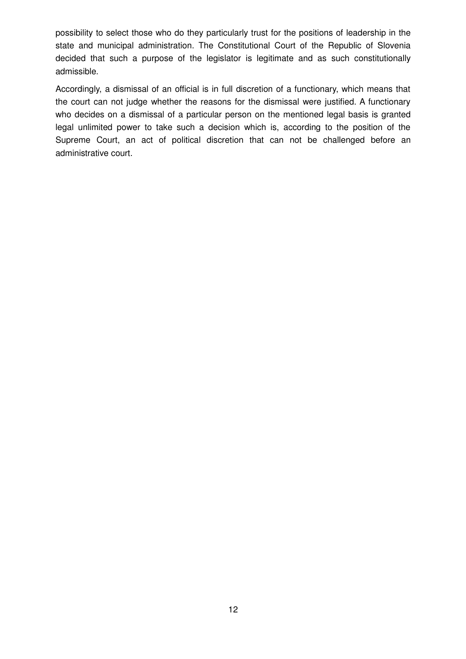possibility to select those who do they particularly trust for the positions of leadership in the state and municipal administration. The Constitutional Court of the Republic of Slovenia decided that such a purpose of the legislator is legitimate and as such constitutionally admissible.

Accordingly, a dismissal of an official is in full discretion of a functionary, which means that the court can not judge whether the reasons for the dismissal were justified. A functionary who decides on a dismissal of a particular person on the mentioned legal basis is granted legal unlimited power to take such a decision which is, according to the position of the Supreme Court, an act of political discretion that can not be challenged before an administrative court.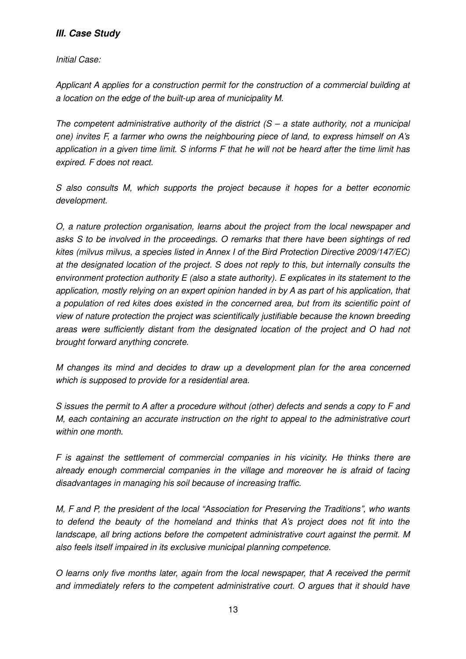#### **III. Case Study**

Initial Case:

Applicant A applies for a construction permit for the construction of a commercial building at a location on the edge of the built-up area of municipality M.

The competent administrative authority of the district  $(S - a$  state authority, not a municipal one) invites F, a farmer who owns the neighbouring piece of land, to express himself on A's application in a given time limit. S informs F that he will not be heard after the time limit has expired. F does not react.

S also consults M, which supports the project because it hopes for a better economic development.

O, a nature protection organisation, learns about the project from the local newspaper and asks S to be involved in the proceedings. O remarks that there have been sightings of red kites (milvus milvus, a species listed in Annex I of the Bird Protection Directive 2009/147/EC) at the designated location of the project. S does not reply to this, but internally consults the environment protection authority E (also a state authority). E explicates in its statement to the application, mostly relying on an expert opinion handed in by A as part of his application, that a population of red kites does existed in the concerned area, but from its scientific point of view of nature protection the project was scientifically justifiable because the known breeding areas were sufficiently distant from the designated location of the project and O had not brought forward anything concrete.

M changes its mind and decides to draw up a development plan for the area concerned which is supposed to provide for a residential area.

S issues the permit to A after a procedure without (other) defects and sends a copy to F and M, each containing an accurate instruction on the right to appeal to the administrative court within one month.

F is against the settlement of commercial companies in his vicinity. He thinks there are already enough commercial companies in the village and moreover he is afraid of facing disadvantages in managing his soil because of increasing traffic.

M, F and P, the president of the local "Association for Preserving the Traditions", who wants to defend the beauty of the homeland and thinks that A's project does not fit into the landscape, all bring actions before the competent administrative court against the permit. M also feels itself impaired in its exclusive municipal planning competence.

O learns only five months later, again from the local newspaper, that A received the permit and immediately refers to the competent administrative court. O argues that it should have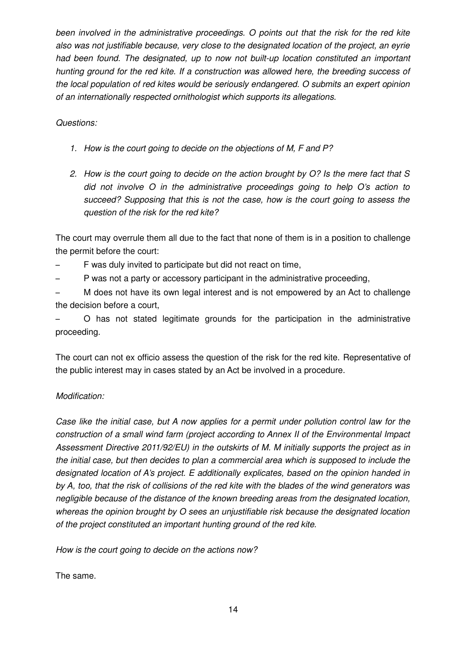been involved in the administrative proceedings. O points out that the risk for the red kite also was not justifiable because, very close to the designated location of the project, an eyrie had been found. The designated, up to now not built-up location constituted an important hunting ground for the red kite. If a construction was allowed here, the breeding success of the local population of red kites would be seriously endangered. O submits an expert opinion of an internationally respected ornithologist which supports its allegations.

Questions:

- 1. How is the court going to decide on the objections of M, F and P?
- 2. How is the court going to decide on the action brought by O? Is the mere fact that S did not involve O in the administrative proceedings going to help O's action to succeed? Supposing that this is not the case, how is the court going to assess the question of the risk for the red kite?

The court may overrule them all due to the fact that none of them is in a position to challenge the permit before the court:

- F was duly invited to participate but did not react on time,
- P was not a party or accessory participant in the administrative proceeding,

– M does not have its own legal interest and is not empowered by an Act to challenge the decision before a court,

– O has not stated legitimate grounds for the participation in the administrative proceeding.

The court can not ex officio assess the question of the risk for the red kite. Representative of the public interest may in cases stated by an Act be involved in a procedure.

#### Modification:

Case like the initial case, but A now applies for a permit under pollution control law for the construction of a small wind farm (project according to Annex II of the Environmental Impact Assessment Directive 2011/92/EU) in the outskirts of M. M initially supports the project as in the initial case, but then decides to plan a commercial area which is supposed to include the designated location of A's project. E additionally explicates, based on the opinion handed in by A, too, that the risk of collisions of the red kite with the blades of the wind generators was negligible because of the distance of the known breeding areas from the designated location, whereas the opinion brought by O sees an unjustifiable risk because the designated location of the project constituted an important hunting ground of the red kite.

How is the court going to decide on the actions now?

The same.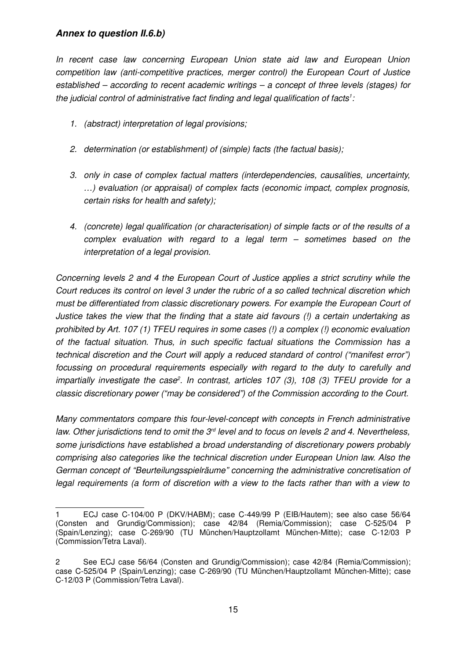#### **Annex to question II.6.b)**

In recent case law concerning European Union state aid law and European Union competition law (anti-competitive practices, merger control) the European Court of Justice established – according to recent academic writings – a concept of three levels (stages) for the judicial control of administrative fact finding and legal qualification of facts<sup>1</sup>:

- 1. (abstract) interpretation of legal provisions;
- 2. determination (or establishment) of (simple) facts (the factual basis);
- 3. only in case of complex factual matters (interdependencies, causalities, uncertainty, …) evaluation (or appraisal) of complex facts (economic impact, complex prognosis, certain risks for health and safety);
- 4. (concrete) legal qualification (or characterisation) of simple facts or of the results of a complex evaluation with regard to a legal term – sometimes based on the interpretation of a legal provision.

Concerning levels 2 and 4 the European Court of Justice applies a strict scrutiny while the Court reduces its control on level 3 under the rubric of a so called technical discretion which must be differentiated from classic discretionary powers. For example the European Court of Justice takes the view that the finding that a state aid favours (!) a certain undertaking as prohibited by Art. 107 (1) TFEU requires in some cases (!) a complex (!) economic evaluation of the factual situation. Thus, in such specific factual situations the Commission has a technical discretion and the Court will apply a reduced standard of control ("manifest error") focussing on procedural requirements especially with regard to the duty to carefully and impartially investigate the case<sup>2</sup>. In contrast, articles 107 (3), 108 (3) TFEU provide for a classic discretionary power ("may be considered") of the Commission according to the Court.

Many commentators compare this four-level-concept with concepts in French administrative law. Other jurisdictions tend to omit the  $3<sup>rd</sup>$  level and to focus on levels 2 and 4. Nevertheless, some jurisdictions have established a broad understanding of discretionary powers probably comprising also categories like the technical discretion under European Union law. Also the German concept of "Beurteilungsspielräume" concerning the administrative concretisation of legal requirements (a form of discretion with a view to the facts rather than with a view to

<sup>1</sup> ECJ case C-104/00 P (DKV/HABM); case C-449/99 P (EIB/Hautem); see also case 56/64 (Consten and Grundig/Commission); case 42/84 (Remia/Commission); case C-525/04 P (Spain/Lenzing); case C-269/90 (TU München/Hauptzollamt München-Mitte); case C-12/03 P (Commission/Tetra Laval).

<sup>2</sup> See ECJ case 56/64 (Consten and Grundig/Commission); case 42/84 (Remia/Commission); case C-525/04 P (Spain/Lenzing); case C-269/90 (TU München/Hauptzollamt München-Mitte); case C-12/03 P (Commission/Tetra Laval).